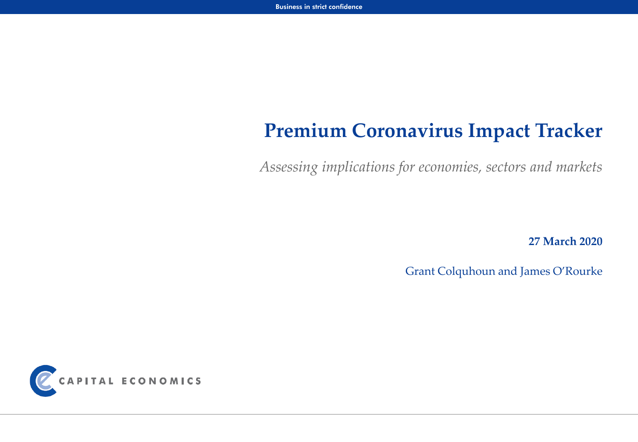# **Premium Coronavirus Impact Tracker**

*Assessing implications for economies, sectors and markets*

**27 March 2020**

Grant Colquhoun and James O'Rourke

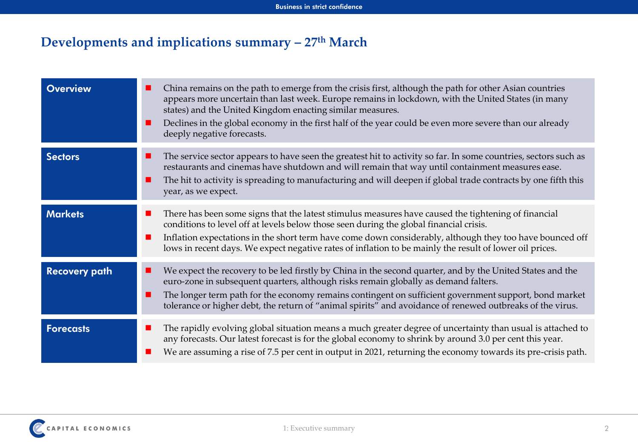## **Developments and implications summary – 27th March**

| <b>Overview</b>      | China remains on the path to emerge from the crisis first, although the path for other Asian countries<br>ш<br>appears more uncertain than last week. Europe remains in lockdown, with the United States (in many<br>states) and the United Kingdom enacting similar measures.<br>Declines in the global economy in the first half of the year could be even more severe than our already<br>deeply negative forecasts.        |
|----------------------|--------------------------------------------------------------------------------------------------------------------------------------------------------------------------------------------------------------------------------------------------------------------------------------------------------------------------------------------------------------------------------------------------------------------------------|
| <b>Sectors</b>       | The service sector appears to have seen the greatest hit to activity so far. In some countries, sectors such as<br>ш<br>restaurants and cinemas have shutdown and will remain that way until containment measures ease.<br>The hit to activity is spreading to manufacturing and will deepen if global trade contracts by one fifth this<br>year, as we expect.                                                                |
| <b>Markets</b>       | There has been some signs that the latest stimulus measures have caused the tightening of financial<br>ш<br>conditions to level off at levels below those seen during the global financial crisis.<br>Inflation expectations in the short term have come down considerably, although they too have bounced off<br>ш<br>lows in recent days. We expect negative rates of inflation to be mainly the result of lower oil prices. |
| <b>Recovery path</b> | We expect the recovery to be led firstly by China in the second quarter, and by the United States and the<br>■<br>euro-zone in subsequent quarters, although risks remain globally as demand falters.<br>The longer term path for the economy remains contingent on sufficient government support, bond market<br>tolerance or higher debt, the return of "animal spirits" and avoidance of renewed outbreaks of the virus.    |
| <b>Forecasts</b>     | The rapidly evolving global situation means a much greater degree of uncertainty than usual is attached to<br>■<br>any forecasts. Our latest forecast is for the global economy to shrink by around 3.0 per cent this year.<br>We are assuming a rise of 7.5 per cent in output in 2021, returning the economy towards its pre-crisis path.                                                                                    |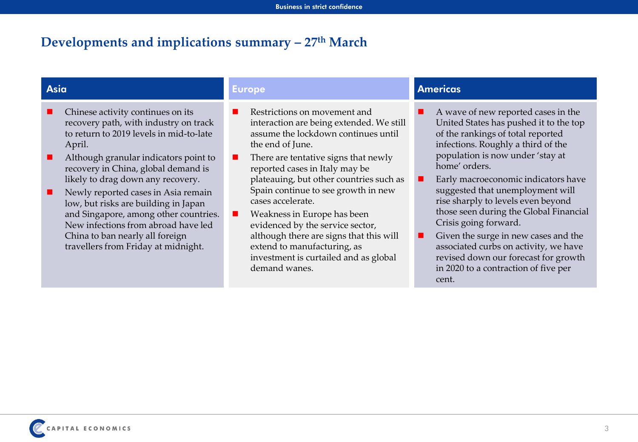### **Developments and implications summary – 27th March**

- Chinese activity continues on its recovery path, with industry on track to return to 2019 levels in mid-to-late April.
- Although granular indicators point to recovery in China, global demand is likely to drag down any recovery.
- Newly reported cases in Asia remain low, but risks are building in Japan and Singapore, among other countries. New infections from abroad have led China to ban nearly all foreign travellers from Friday at midnight.

- Restrictions on movement and interaction are being extended. We still assume the lockdown continues until the end of June.
- $\blacksquare$  There are tentative signs that newly reported cases in Italy may be plateauing, but other countries such as Spain continue to see growth in new cases accelerate.
- $\blacksquare$  Weakness in Europe has been evidenced by the service sector, although there are signs that this will extend to manufacturing, as investment is curtailed and as global demand wanes.

#### **Asia Europe Americas**

- A wave of new reported cases in the United States has pushed it to the top of the rankings of total reported infections. Roughly a third of the population is now under 'stay at home' orders.
- Early macroeconomic indicators have suggested that unemployment will rise sharply to levels even beyond those seen during the Global Financial Crisis going forward.
- $\blacksquare$  Given the surge in new cases and the associated curbs on activity, we have revised down our forecast for growth in 2020 to a contraction of five per cent.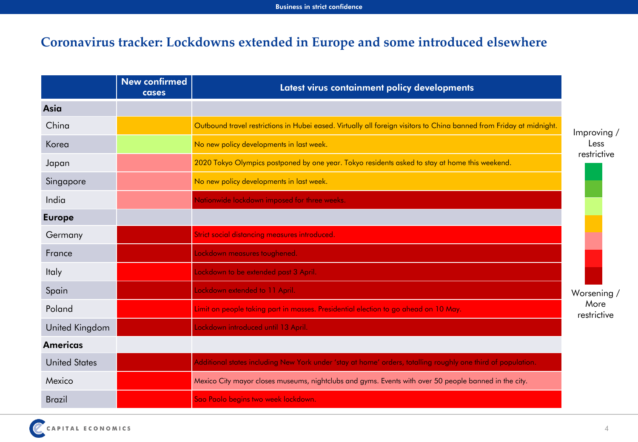### **Coronavirus tracker: Lockdowns extended in Europe and some introduced elsewhere**

|                      | <b>New confirmed</b><br>cases | Latest virus containment policy developments                                                                         |                     |
|----------------------|-------------------------------|----------------------------------------------------------------------------------------------------------------------|---------------------|
| Asia                 |                               |                                                                                                                      |                     |
| China                |                               | Outbound travel restrictions in Hubei eased. Virtually all foreign visitors to China banned from Friday at midnight. | Improving /         |
| Korea                |                               | No new policy developments in last week.                                                                             | Less                |
| Japan                |                               | 2020 Tokyo Olympics postponed by one year. Tokyo residents asked to stay at home this weekend.                       | restrictive         |
| Singapore            |                               | No new policy developments in last week.                                                                             |                     |
| India                |                               | Nationwide lockdown imposed for three weeks.                                                                         |                     |
| <b>Europe</b>        |                               |                                                                                                                      |                     |
| Germany              |                               | Strict social distancing measures introduced.                                                                        |                     |
| France               |                               | Lockdown measures toughened.                                                                                         |                     |
| <b>Italy</b>         |                               | Lockdown to be extended past 3 April.                                                                                |                     |
| Spain                |                               | Lockdown extended to 11 April.                                                                                       | Worsening /         |
| Poland               |                               | Limit on people taking part in masses. Presidential election to go ahead on 10 May.                                  | More<br>restrictive |
| United Kingdom       |                               | Lockdown introduced until 13 April.                                                                                  |                     |
| <b>Americas</b>      |                               |                                                                                                                      |                     |
| <b>United States</b> |                               | Additional states including New York under 'stay at home' orders, totalling roughly one third of population.         |                     |
| Mexico               |                               | Mexico City mayor closes museums, nightclubs and gyms. Events with over 50 people banned in the city.                |                     |
| <b>Brazil</b>        |                               | Sao Paolo begins two week lockdown.                                                                                  |                     |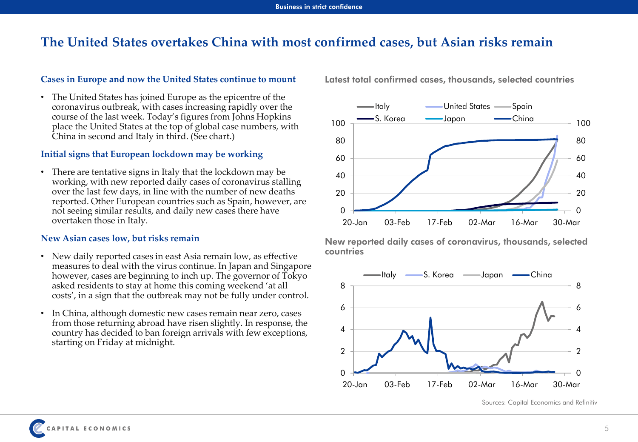### **The United States overtakes China with most confirmed cases, but Asian risks remain**

#### **Cases in Europe and now the United States continue to mount**

• The United States has joined Europe as the epicentre of the coronavirus outbreak, with cases increasing rapidly over the course of the last week. Today's figures from Johns Hopkins place the United States at the top of global case numbers, with China in second and Italy in third. (See chart.)

#### **Initial signs that European lockdown may be working**

• There are tentative signs in Italy that the lockdown may be working, with new reported daily cases of coronavirus stalling over the last few days, in line with the number of new deaths reported. Other European countries such as Spain, however, are not seeing similar results, and daily new cases there have overtaken those in Italy.

#### **New Asian cases low, but risks remain**

- New daily reported cases in east Asia remain low, as effective measures to deal with the virus continue. In Japan and Singapore however, cases are beginning to inch up. The governor of Tokyo asked residents to stay at home this coming weekend 'at all costs', in a sign that the outbreak may not be fully under control.
- In China, although domestic new cases remain near zero, cases from those returning abroad have risen slightly. In response, the country has decided to ban foreign arrivals with few exceptions, starting on Friday at midnight.

**Latest total confirmed cases, thousands, selected countries**



**New reported daily cases of coronavirus, thousands, selected countries**



Sources: Capital Economics and Refinitiv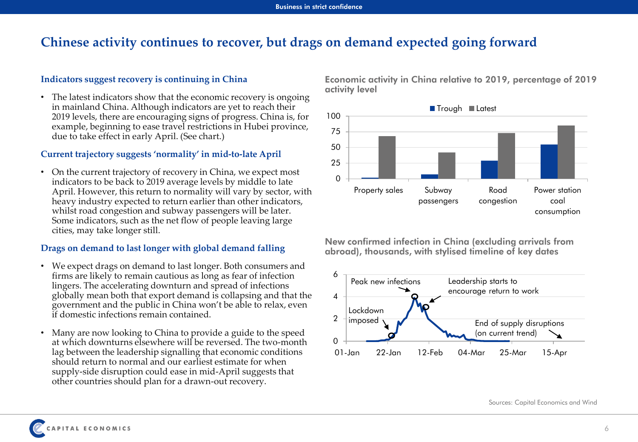### **Chinese activity continues to recover, but drags on demand expected going forward**

#### **Indicators suggest recovery is continuing in China**

• The latest indicators show that the economic recovery is ongoing in mainland China. Although indicators are yet to reach their 2019 levels, there are encouraging signs of progress. China is, for example, beginning to ease travel restrictions in Hubei province, due to take effect in early April. (See chart.)

#### **Current trajectory suggests 'normality' in mid-to-late April**

• On the current trajectory of recovery in China, we expect most indicators to be back to 2019 average levels by middle to late April. However, this return to normality will vary by sector, with heavy industry expected to return earlier than other indicators, whilst road congestion and subway passengers will be later. Some indicators, such as the net flow of people leaving large cities, may take longer still.

#### **Drags on demand to last longer with global demand falling**

- We expect drags on demand to last longer. Both consumers and firms are likely to remain cautious as long as fear of infection lingers. The accelerating downturn and spread of infections globally mean both that export demand is collapsing and that the government and the public in China won't be able to relax, even if domestic infections remain contained.
- Many are now looking to China to provide a guide to the speed at which downturns elsewhere will be reversed. The two-month lag between the leadership signalling that economic conditions should return to normal and our earliest estimate for when supply-side disruption could ease in mid-April suggests that other countries should plan for a drawn-out recovery.

**Economic activity in China relative to 2019, percentage of 2019 activity level**



**New confirmed infection in China (excluding arrivals from abroad), thousands, with stylised timeline of key dates**



Sources: Capital Economics and Wind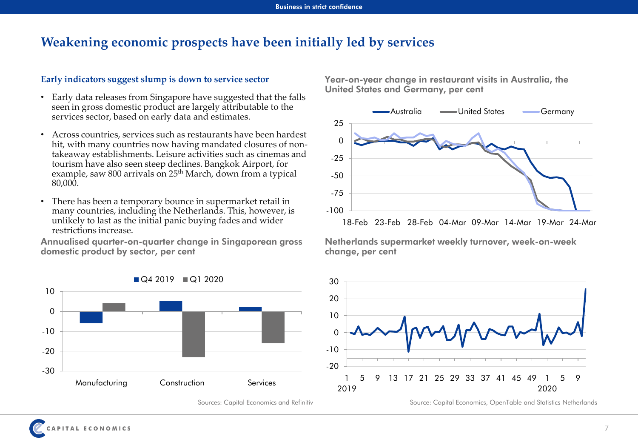### **Weakening economic prospects have been initially led by services**

#### **Early indicators suggest slump is down to service sector**

- Early data releases from Singapore have suggested that the falls seen in gross domestic product are largely attributable to the services sector, based on early data and estimates.
- Across countries, services such as restaurants have been hardest hit, with many countries now having mandated closures of nontakeaway establishments. Leisure activities such as cinemas and tourism have also seen steep declines. Bangkok Airport, for example, saw 800 arrivals on 25<sup>th</sup> March, down from a typical 80,000.
- There has been a temporary bounce in supermarket retail in many countries, including the Netherlands. This, however, is unlikely to last as the initial panic buying fades and wider restrictions increase.

**Annualised quarter-on-quarter change in Singaporean gross domestic product by sector, per cent**



Sources: Capital Economics and Refinitiv

**Year-on-year change in restaurant visits in Australia, the United States and Germany, per cent**



**Netherlands supermarket weekly turnover, week-on-week change, per cent**



Source: Capital Economics, OpenTable and Statistics Netherlands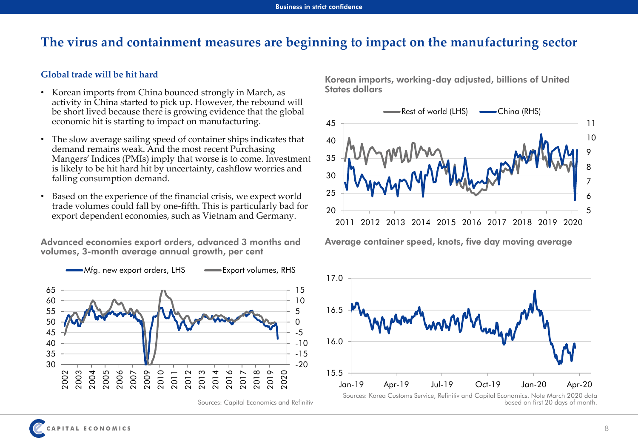### **The virus and containment measures are beginning to impact on the manufacturing sector**

#### **Global trade will be hit hard**

- Korean imports from China bounced strongly in March, as activity in China started to pick up. However, the rebound will be short lived because there is growing evidence that the global economic hit is starting to impact on manufacturing.
- The slow average sailing speed of container ships indicates that demand remains weak. And the most recent Purchasing Mangers' Indices (PMIs) imply that worse is to come. Investment is likely to be hit hard hit by uncertainty, cashflow worries and falling consumption demand.
- Based on the experience of the financial crisis, we expect world trade volumes could fall by one-fifth. This is particularly bad for export dependent economies, such as Vietnam and Germany.

**Advanced economies export orders, advanced 3 months and volumes, 3-month average annual growth, per cent**



Sources: Capital Economics and Refinitiv

**Korean imports, working-day adjusted, billions of United States dollars**



**Average container speed, knots, five day moving average**



Sources: Korea Customs Service, Refinitiv and Capital Economics. Note March 2020 data based on first 20 days of month.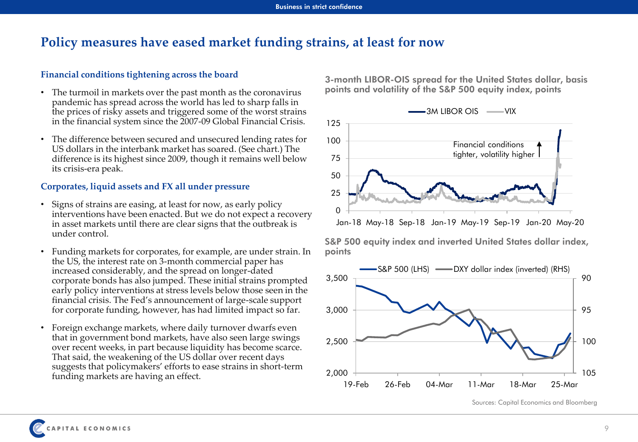### **Policy measures have eased market funding strains, at least for now**

#### **Financial conditions tightening across the board**

- The turmoil in markets over the past month as the coronavirus pandemic has spread across the world has led to sharp falls in the prices of risky assets and triggered some of the worst strains in the financial system since the 2007-09 Global Financial Crisis.
- The difference between secured and unsecured lending rates for US dollars in the interbank market has soared. (See chart.) The difference is its highest since 2009, though it remains well below its crisis-era peak.

#### **Corporates, liquid assets and FX all under pressure**

- Signs of strains are easing, at least for now, as early policy interventions have been enacted. But we do not expect a recovery in asset markets until there are clear signs that the outbreak is under control.
- Funding markets for corporates, for example, are under strain. In the US, the interest rate on 3-month commercial paper has increased considerably, and the spread on longer-dated corporate bonds has also jumped. These initial strains prompted early policy interventions at stress levels below those seen in the financial crisis. The Fed's announcement of large-scale support for corporate funding, however, has had limited impact so far.
- Foreign exchange markets, where daily turnover dwarfs even that in government bond markets, have also seen large swings over recent weeks, in part because liquidity has become scarce. That said, the weakening of the US dollar over recent days suggests that policymakers' efforts to ease strains in short-term funding markets are having an effect.

**3-month LIBOR-OIS spread for the United States dollar, basis points and volatility of the S&P 500 equity index, points**



**S&P 500 equity index and inverted United States dollar index, points**



Sources: Capital Economics and Bloomberg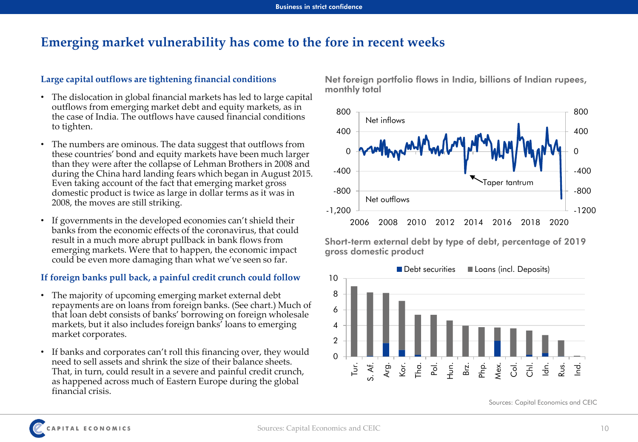### **Emerging market vulnerability has come to the fore in recent weeks**

#### **Large capital outflows are tightening financial conditions**

- The dislocation in global financial markets has led to large capital outflows from emerging market debt and equity markets, as in the case of India. The outflows have caused financial conditions to tighten.
- The numbers are ominous. The data suggest that outflows from these countries' bond and equity markets have been much larger than they were after the collapse of Lehman Brothers in 2008 and during the China hard landing fears which began in August 2015. Even taking account of the fact that emerging market gross domestic product is twice as large in dollar terms as it was in 2008, the moves are still striking.
- If governments in the developed economies can't shield their banks from the economic effects of the coronavirus, that could result in a much more abrupt pullback in bank flows from emerging markets. Were that to happen, the economic impact could be even more damaging than what we've seen so far.

#### **If foreign banks pull back, a painful credit crunch could follow**

- The majority of upcoming emerging market external debt repayments are on loans from foreign banks. (See chart.) Much of that loan debt consists of banks' borrowing on foreign wholesale markets, but it also includes foreign banks' loans to emerging market corporates.
- If banks and corporates can't roll this financing over, they would need to sell assets and shrink the size of their balance sheets. That, in turn, could result in a severe and painful credit crunch, as happened across much of Eastern Europe during the global financial crisis.

**Net foreign portfolio flows in India, billions of Indian rupees, monthly total**



**Short-term external debt by type of debt, percentage of 2019 gross domestic product**



Sources: Capital Economics and CEIC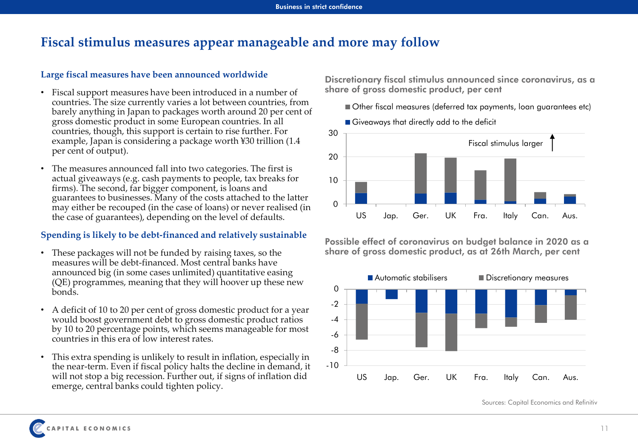### **Fiscal stimulus measures appear manageable and more may follow**

#### **Large fiscal measures have been announced worldwide**

- Fiscal support measures have been introduced in a number of countries. The size currently varies a lot between countries, from barely anything in Japan to packages worth around 20 per cent of gross domestic product in some European countries. In all countries, though, this support is certain to rise further. For example, Japan is considering a package worth ¥30 trillion (1.4 per cent of output).
- The measures announced fall into two categories. The first is actual giveaways (e.g. cash payments to people, tax breaks for firms). The second, far bigger component, is loans and guarantees to businesses. Many of the costs attached to the latter may either be recouped (in the case of loans) or never realised (in the case of guarantees), depending on the level of defaults.

### **Spending is likely to be debt-financed and relatively sustainable**

- These packages will not be funded by raising taxes, so the measures will be debt-financed. Most central banks have announced big (in some cases unlimited) quantitative easing (QE) programmes, meaning that they will hoover up these new bonds.
- A deficit of 10 to 20 per cent of gross domestic product for a year would boost government debt to gross domestic product ratios by 10 to 20 percentage points, which seems manageable for most countries in this era of low interest rates.
- This extra spending is unlikely to result in inflation, especially in the near-term. Even if fiscal policy halts the decline in demand, it will not stop a big recession. Further out, if signs of inflation did emerge, central banks could tighten policy.

**Discretionary fiscal stimulus announced since coronavirus, as a share of gross domestic product, per cent**

Other fiscal measures (deferred tax payments, loan guarantees etc)



**Possible effect of coronavirus on budget balance in 2020 as a share of gross domestic product, as at 26th March, per cent** 



Sources: Capital Economics and Refinitiv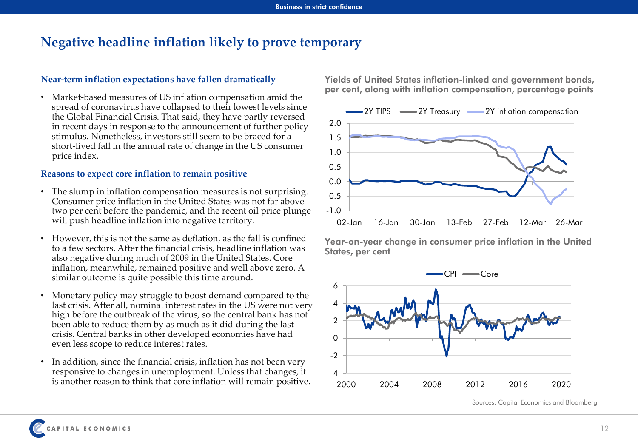### **Negative headline inflation likely to prove temporary**

#### **Near-term inflation expectations have fallen dramatically**

• Market-based measures of US inflation compensation amid the spread of coronavirus have collapsed to their lowest levels since the Global Financial Crisis. That said, they have partly reversed in recent days in response to the announcement of further policy stimulus. Nonetheless, investors still seem to be braced for a short-lived fall in the annual rate of change in the US consumer price index.

#### **Reasons to expect core inflation to remain positive**

- The slump in inflation compensation measures is not surprising. Consumer price inflation in the United States was not far above two per cent before the pandemic, and the recent oil price plunge will push headline inflation into negative territory.
- However, this is not the same as deflation, as the fall is confined to a few sectors. After the financial crisis, headline inflation was also negative during much of 2009 in the United States. Core inflation, meanwhile, remained positive and well above zero. A similar outcome is quite possible this time around.
- Monetary policy may struggle to boost demand compared to the last crisis. After all, nominal interest rates in the US were not very high before the outbreak of the virus, so the central bank has not been able to reduce them by as much as it did during the last crisis. Central banks in other developed economies have had even less scope to reduce interest rates.
- In addition, since the financial crisis, inflation has not been very responsive to changes in unemployment. Unless that changes, it is another reason to think that core inflation will remain positive.

**Yields of United States inflation-linked and government bonds, per cent, along with inflation compensation, percentage points**



**Year-on-year change in consumer price inflation in the United States, per cent**



Sources: Capital Economics and Bloomberg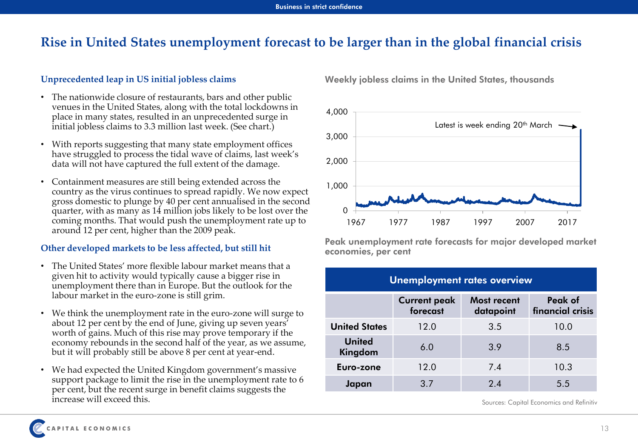### **Rise in United States unemployment forecast to be larger than in the global financial crisis**

### **Unprecedented leap in US initial jobless claims**

- The nationwide closure of restaurants, bars and other public venues in the United States, along with the total lockdowns in place in many states, resulted in an unprecedented surge in initial jobless claims to 3.3 million last week. (See chart.)
- With reports suggesting that many state employment offices have struggled to process the tidal wave of claims, last week's data will not have captured the full extent of the damage.
- Containment measures are still being extended across the country as the virus continues to spread rapidly. We now expect gross domestic to plunge by 40 per cent annualised in the second quarter, with as many as 14 million jobs likely to be lost over the coming months. That would push the unemployment rate up to around 12 per cent, higher than the 2009 peak.

#### **Other developed markets to be less affected, but still hit**

- The United States' more flexible labour market means that a given hit to activity would typically cause a bigger rise in unemployment there than in Europe. But the outlook for the labour market in the euro-zone is still grim.
- We think the unemployment rate in the euro-zone will surge to about 12 per cent by the end of June, giving up seven years' worth of gains. Much of this rise may prove temporary if the economy rebounds in the second half of the year, as we assume, but it will probably still be above 8 per cent at year-end.
- We had expected the United Kingdom government's massive support package to limit the rise in the unemployment rate to 6 per cent, but the recent surge in benefit claims suggests the increase will exceed this.

**Weekly jobless claims in the United States, thousands**



**Peak unemployment rate forecasts for major developed market economies, per cent**

|                          | <b>Unemployment rates overview</b> |                          |                             |
|--------------------------|------------------------------------|--------------------------|-----------------------------|
|                          | <b>Current peak</b><br>forecast    | Most recent<br>datapoint | Peak of<br>financial crisis |
| <b>United States</b>     | 12.0                               | 3.5                      | 10.0                        |
| <b>United</b><br>Kingdom | 6.0                                | 3.9                      | 8.5                         |
| Euro-zone                | 12.0                               | 7.4                      | 10.3                        |
| Japan                    | 3.7                                | 2.4                      | 5.5                         |

Sources: Capital Economics and Refinitiv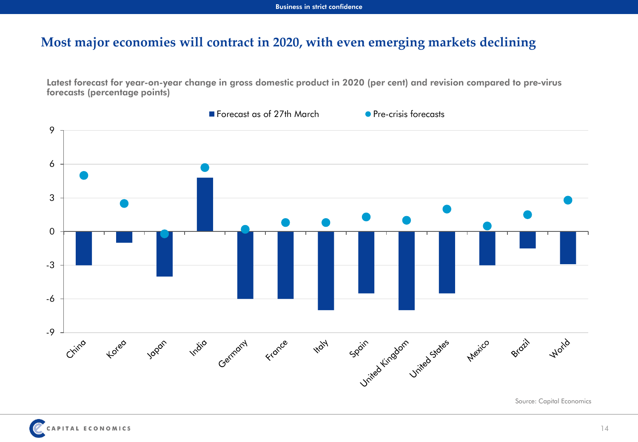### **Most major economies will contract in 2020, with even emerging markets declining**

**Latest forecast for year-on-year change in gross domestic product in 2020 (per cent) and revision compared to pre-virus forecasts (percentage points)**



Source: Capital Economics

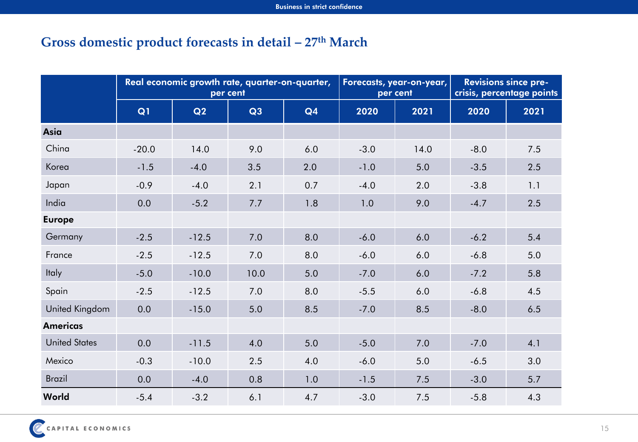## **Gross domestic product forecasts in detail – 27th March**

|                      | Real economic growth rate, quarter-on-quarter,<br>per cent |         |      |     | Forecasts, year-on-year,<br>per cent |      | <b>Revisions since pre-</b><br>crisis, percentage points |      |
|----------------------|------------------------------------------------------------|---------|------|-----|--------------------------------------|------|----------------------------------------------------------|------|
|                      | Q1                                                         | Q2      | Q3   | Q4  | 2020                                 | 2021 | 2020                                                     | 2021 |
| <b>Asia</b>          |                                                            |         |      |     |                                      |      |                                                          |      |
| China                | $-20.0$                                                    | 14.0    | 9.0  | 6.0 | $-3.0$                               | 14.0 | $-8.0$                                                   | 7.5  |
| Korea                | $-1.5$                                                     | $-4.0$  | 3.5  | 2.0 | $-1.0$                               | 5.0  | $-3.5$                                                   | 2.5  |
| Japan                | $-0.9$                                                     | $-4.0$  | 2.1  | 0.7 | $-4.0$                               | 2.0  | $-3.8$                                                   | 1.1  |
| India                | 0.0                                                        | $-5.2$  | 7.7  | 1.8 | 1.0                                  | 9.0  | $-4.7$                                                   | 2.5  |
| <b>Europe</b>        |                                                            |         |      |     |                                      |      |                                                          |      |
| Germany              | $-2.5$                                                     | $-12.5$ | 7.0  | 8.0 | $-6.0$                               | 6.0  | $-6.2$                                                   | 5.4  |
| France               | $-2.5$                                                     | $-12.5$ | 7.0  | 8.0 | $-6.0$                               | 6.0  | $-6.8$                                                   | 5.0  |
| <b>Italy</b>         | $-5.0$                                                     | $-10.0$ | 10.0 | 5.0 | $-7.0$                               | 6.0  | $-7.2$                                                   | 5.8  |
| Spain                | $-2.5$                                                     | $-12.5$ | 7.0  | 8.0 | $-5.5$                               | 6.0  | $-6.8$                                                   | 4.5  |
| United Kingdom       | 0.0                                                        | $-15.0$ | 5.0  | 8.5 | $-7.0$                               | 8.5  | $-8.0$                                                   | 6.5  |
| <b>Americas</b>      |                                                            |         |      |     |                                      |      |                                                          |      |
| <b>United States</b> | 0.0                                                        | $-11.5$ | 4.0  | 5.0 | $-5.0$                               | 7.0  | $-7.0$                                                   | 4.1  |
| Mexico               | $-0.3$                                                     | $-10.0$ | 2.5  | 4.0 | $-6.0$                               | 5.0  | $-6.5$                                                   | 3.0  |
| <b>Brazil</b>        | 0.0                                                        | $-4.0$  | 0.8  | 1.0 | $-1.5$                               | 7.5  | $-3.0$                                                   | 5.7  |
| World                | $-5.4$                                                     | $-3.2$  | 6.1  | 4.7 | $-3.0$                               | 7.5  | $-5.8$                                                   | 4.3  |